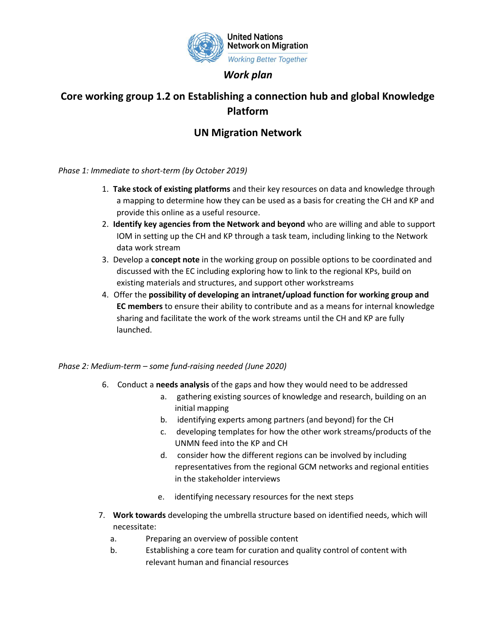

## *Work plan*

## **Core working group 1.2 on Establishing a connection hub and global Knowledge Platform**

## **UN Migration Network**

*Phase 1: Immediate to short-term (by October 2019)*

- 1. **Take stock of existing platforms** and their key resources on data and knowledge through a mapping to determine how they can be used as a basis for creating the CH and KP and provide this online as a useful resource.
- 2. **Identify key agencies from the Network and beyond** who are willing and able to support IOM in setting up the CH and KP through a task team, including linking to the Network data work stream
- 3. Develop a **concept note** in the working group on possible options to be coordinated and discussed with the EC including exploring how to link to the regional KPs, build on existing materials and structures, and support other workstreams
- 4. Offer the **possibility of developing an intranet/upload function for working group and EC members** to ensure their ability to contribute and as a means for internal knowledge sharing and facilitate the work of the work streams until the CH and KP are fully launched.

## *Phase 2: Medium-term – some fund-raising needed (June 2020)*

- 6. Conduct a **needs analysis** of the gaps and how they would need to be addressed
	- a. gathering existing sources of knowledge and research, building on an initial mapping
	- b. identifying experts among partners (and beyond) for the CH
	- c. developing templates for how the other work streams/products of the UNMN feed into the KP and CH
	- d. consider how the different regions can be involved by including representatives from the regional GCM networks and regional entities in the stakeholder interviews
	- e. identifying necessary resources for the next steps
- 7. **Work towards** developing the umbrella structure based on identified needs, which will necessitate:
	- a. Preparing an overview of possible content
	- b. Establishing a core team for curation and quality control of content with relevant human and financial resources